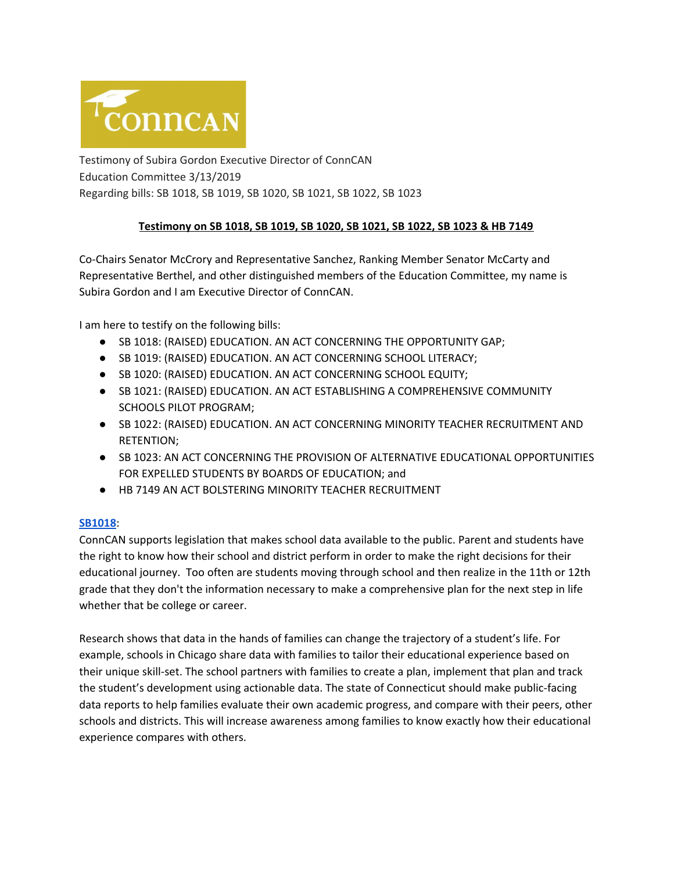

Testimony of Subira Gordon Executive Director of ConnCAN Education Committee 3/13/2019 Regarding bills: SB 1018, SB 1019, SB 1020, SB 1021, SB 1022, SB 1023

# **Testimony on SB 1018, SB 1019, SB 1020, SB 1021, SB 1022, SB 1023 & HB 7149**

Co-Chairs Senator McCrory and Representative Sanchez, Ranking Member Senator McCarty and Representative Berthel, and other distinguished members of the Education Committee, my name is Subira Gordon and I am Executive Director of ConnCAN.

I am here to testify on the following bills:

- SB 1018: (RAISED) EDUCATION. AN ACT CONCERNING THE OPPORTUNITY GAP;
- SB 1019: (RAISED) EDUCATION. AN ACT CONCERNING SCHOOL LITERACY;
- SB 1020: (RAISED) EDUCATION. AN ACT CONCERNING SCHOOL EQUITY;
- SB 1021: (RAISED) EDUCATION. AN ACT ESTABLISHING A COMPREHENSIVE COMMUNITY SCHOOLS PILOT PROGRAM;
- SB 1022: (RAISED) EDUCATION. AN ACT CONCERNING MINORITY TEACHER RECRUITMENT AND RETENTION;
- SB 1023: AN ACT CONCERNING THE PROVISION OF ALTERNATIVE EDUCATIONAL OPPORTUNITIES FOR EXPELLED STUDENTS BY BOARDS OF EDUCATION; and
- HB 7149 AN ACT BOLSTERING MINORITY TEACHER RECRUITMENT

## **[SB1018](http://www.cga.ct.gov/asp/cgabillstatus/cgabillstatus.asp?selBillType=Bill&bill_num=SB01018&which_year=2019)**:

ConnCAN supports legislation that makes school data available to the public. Parent and students have the right to know how their school and district perform in order to make the right decisions for their educational journey. Too often are students moving through school and then realize in the 11th or 12th grade that they don't the information necessary to make a comprehensive plan for the next step in life whether that be college or career.

Research shows that data in the hands of families can change the trajectory of a student's life. For example, schools in Chicago share data with families to tailor their educational experience based on their unique skill-set. The school partners with families to create a plan, implement that plan and track the student's development using actionable data. The state of Connecticut should make public-facing data reports to help families evaluate their own academic progress, and compare with their peers, other schools and districts. This will increase awareness among families to know exactly how their educational experience compares with others.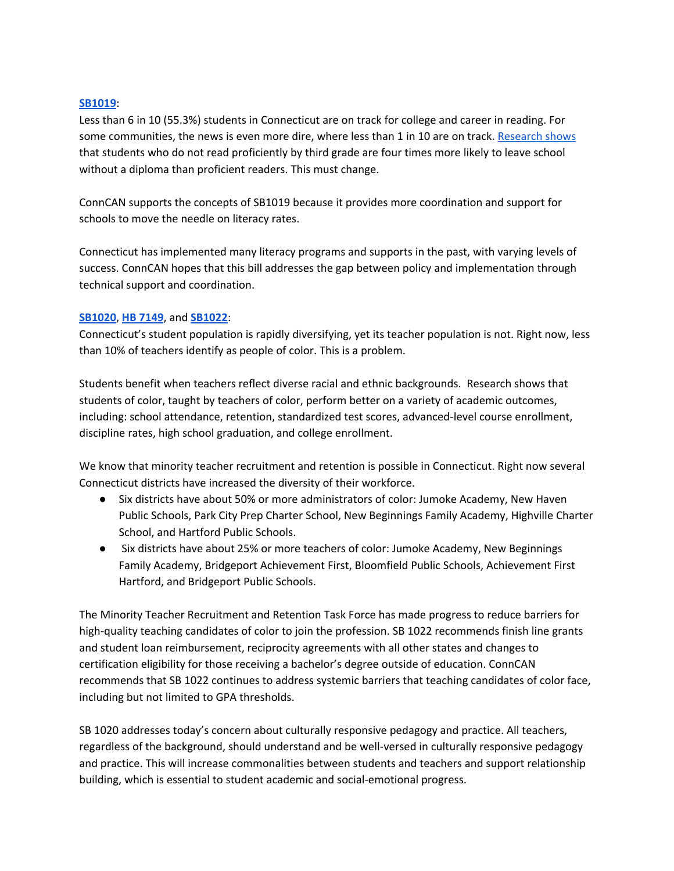#### **[SB1019](http://www.cga.ct.gov/asp/cgabillstatus/cgabillstatus.asp?selBillType=Bill&bill_num=SB01019&which_year=2019)**:

Less than 6 in 10 (55.3%) students in Connecticut are on track for college and career in reading. For some communities, the news is even more dire, where less than 1 in 10 are on track. [Research](https://www.aecf.org/m/resourcedoc/AECF-DoubleJeopardy-2012-Full.pdf) shows that students who do not read proficiently by third grade are four times more likely to leave school without a diploma than proficient readers. This must change.

ConnCAN supports the concepts of SB1019 because it provides more coordination and support for schools to move the needle on literacy rates.

Connecticut has implemented many literacy programs and supports in the past, with varying levels of success. ConnCAN hopes that this bill addresses the gap between policy and implementation through technical support and coordination.

## **[SB1020](http://www.cga.ct.gov/asp/cgabillstatus/cgabillstatus.asp?selBillType=Bill&bill_num=SB01020&which_year=2019)**, **HB [7149](https://www.cga.ct.gov/asp/cgabillstatus/cgabillstatus.asp?selBillType=Bill&bill_num=HB07149&which_year=2019)**, and **[SB1022](http://www.cga.ct.gov/asp/cgabillstatus/cgabillstatus.asp?selBillType=Bill&bill_num=SB01022&which_year=2019)**:

Connecticut's student population is rapidly diversifying, yet its teacher population is not. Right now, less than 10% of teachers identify as people of color. This is a problem.

Students benefit when teachers reflect diverse racial and ethnic backgrounds. Research shows that students of color, taught by teachers of color, perform better on a variety of academic outcomes, including: school attendance, retention, standardized test scores, advanced-level course enrollment, discipline rates, high school graduation, and college enrollment.

We know that minority teacher recruitment and retention is possible in Connecticut. Right now several Connecticut districts have increased the diversity of their workforce.

- Six districts have about 50% or more administrators of color: Jumoke Academy, New Haven Public Schools, Park City Prep Charter School, New Beginnings Family Academy, Highville Charter School, and Hartford Public Schools.
- Six districts have about 25% or more teachers of color: Jumoke Academy, New Beginnings Family Academy, Bridgeport Achievement First, Bloomfield Public Schools, Achievement First Hartford, and Bridgeport Public Schools.

The Minority Teacher Recruitment and Retention Task Force has made progress to reduce barriers for high-quality teaching candidates of color to join the profession. SB 1022 recommends finish line grants and student loan reimbursement, reciprocity agreements with all other states and changes to certification eligibility for those receiving a bachelor's degree outside of education. ConnCAN recommends that SB 1022 continues to address systemic barriers that teaching candidates of color face, including but not limited to GPA thresholds.

SB 1020 addresses today's concern about culturally responsive pedagogy and practice. All teachers, regardless of the background, should understand and be well-versed in culturally responsive pedagogy and practice. This will increase commonalities between students and teachers and support relationship building, which is essential to student academic and social-emotional progress.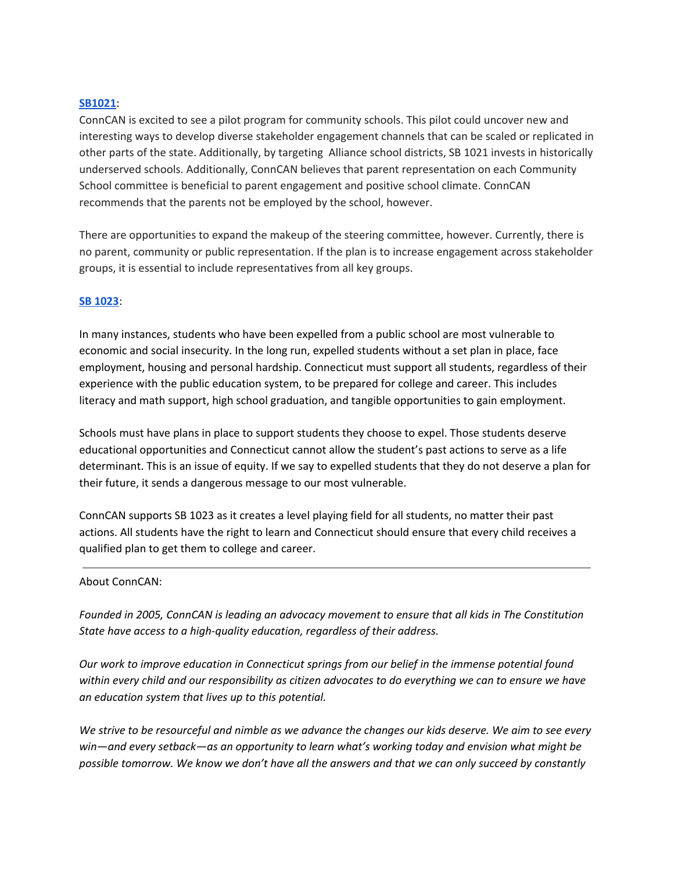#### **[SB1021](http://www.cga.ct.gov/asp/cgabillstatus/cgabillstatus.asp?selBillType=Bill&bill_num=SB01021&which_year=2019)**:

ConnCAN is excited to see a pilot program for community schools. This pilot could uncover new and interesting ways to develop diverse stakeholder engagement channels that can be scaled or replicated in other parts of the state. Additionally, by targeting Alliance school districts, SB 1021 invests in historically underserved schools. Additionally, ConnCAN believes that parent representation on each Community School committee is beneficial to parent engagement and positive school climate. ConnCAN recommends that the parents not be employed by the school, however.

There are opportunities to expand the makeup of the steering committee, however. Currently, there is no parent, community or public representation. If the plan is to increase engagement across stakeholder groups, it is essential to include representatives from all key groups.

## **SB [1023](https://www.cga.ct.gov/asp/cgabillstatus/cgabillstatus.asp?selBillType=Bill&bill_num=SB01023&which_year=2019)**:

In many instances, students who have been expelled from a public school are most vulnerable to economic and social insecurity. In the long run, expelled students without a set plan in place, face employment, housing and personal hardship. Connecticut must support all students, regardless of their experience with the public education system, to be prepared for college and career. This includes literacy and math support, high school graduation, and tangible opportunities to gain employment.

Schools must have plans in place to support students they choose to expel. Those students deserve educational opportunities and Connecticut cannot allow the student's past actions to serve as a life determinant. This is an issue of equity. If we say to expelled students that they do not deserve a plan for their future, it sends a dangerous message to our most vulnerable.

ConnCAN supports SB 1023 as it creates a level playing field for all students, no matter their past actions. All students have the right to learn and Connecticut should ensure that every child receives a qualified plan to get them to college and career.

#### About ConnCAN:

*Founded in 2005, ConnCAN is leading an advocacy movement to ensure that all kids in The Constitution State have access to a high-quality education, regardless of their address.*

*Our work to improve education in Connecticut springs from our belief in the immense potential found* within every child and our responsibility as citizen advocates to do everything we can to ensure we have *an education system that lives up to this potential.*

We strive to be resourceful and nimble as we advance the changes our kids deserve. We aim to see every *win—and every setback—as an opportunity to learn what's working today and envision what might be* possible tomorrow. We know we don't have all the answers and that we can only succeed by constantly